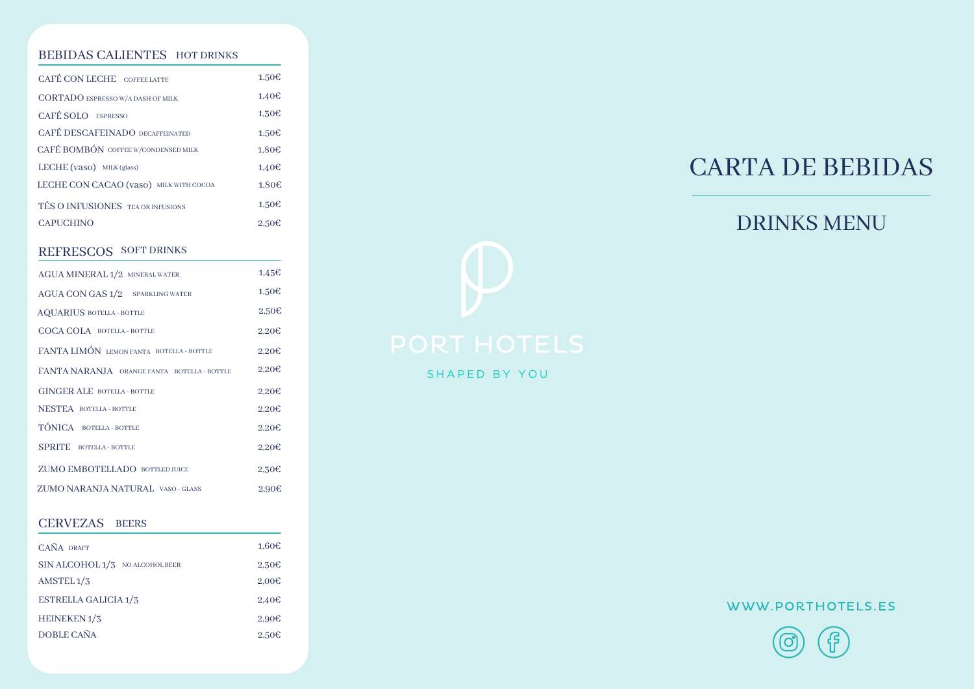#### BEBIDAS CALIENTES HOT DRINKS

| CAFÉ CON LECHE COFFEE LATTE              | 1,50E             |
|------------------------------------------|-------------------|
| <b>CORTADO ESPRESSO W/A DASH OF MILK</b> | 1.40E             |
| CAFÉ SOLO ESPRESSO                       | 1.30E             |
| <b>CAFÉ DESCAFEINADO DECAFFEINATED</b>   | 1.50E             |
| CAFÉ BOMBÓN COFFEE W/CONDENSED MILK      | 1.80E             |
| LECHE $(vaso)$ MILK $(glass)$            | 1.40E             |
| LECHE CON CACAO (vaso) MILK WITH COCOA   | 1.80€             |
| TÉS O INFUSIONES TEA OR INFUSIONS        | 1.50E             |
| <b>CAPUCHINO</b>                         | 2.50 <sub>ε</sub> |

#### REFRESCOS SOFT DRINKS

| AGUA MINERAL 1/2 MINERAL WATER              | 1.45E             |
|---------------------------------------------|-------------------|
| <b>AGUA CON GAS 1/2 SPARKLING WATER</b>     | 1.50E             |
| <b>AQUARIUS BOTELLA - BOTTLE</b>            | 2,50E             |
| COCA COLA BOTELLA - BOTTLE                  | 2,20E             |
| FANTA LIMÓN LEMON FANTA BOTELLA - BOTTLE    | 2.20 <sub>ε</sub> |
| FANTA NARANJA ORANGE FANTA BOTELLA - BOTTLE | 2.20 <sub>ε</sub> |
|                                             |                   |
| <b>GINGER ALE BOTELLA - BOTTLE</b>          | 2,20E             |
| <b>NESTEA BOTELLA-BOTTLE</b>                | 2,20E             |
| TÓNICA BOTELLA - BOTTLE                     | 2.20 <sub>ε</sub> |
| <b>SPRITE</b> BOTELLA - BOTTLE              | 2,20E             |
| ZUMO EMBOTELLADO BOTTLED JUICE              | 2,30E             |

#### CERVEZAS BEERS

| CAÑA DRAFT                      | 1.60E             |
|---------------------------------|-------------------|
| SIN ALCOHOL 1/3 NO ALCOHOL BEER | 2.30 <sub>ε</sub> |
| AMSTEL $1/3$                    | 2,00E             |
| <b>ESTRELLA GALICIA 1/3</b>     | 2.40 <sub>ε</sub> |
| HEINEKEN <sub>1</sub> /3        | 2.90E             |
| DOBLE CAÑA                      | 2.50 <sub>ε</sub> |



## DRINKS MENU



SHAPED BY YOU

## WWW.PORTHOTELS.ES